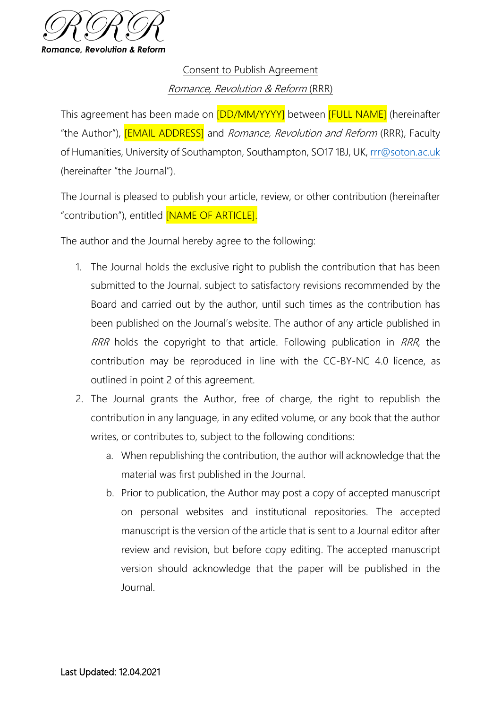

Consent to Publish Agreement Romance, Revolution & Reform (RRR)

This agreement has been made on **[DD/MM/YYYY]** between **[FULL NAME]** (hereinafter "the Author"), **[EMAIL ADDRESS]** and *Romance, Revolution and Reform* (RRR), Faculty of Humanities, University of Southampton, Southampton, SO17 1BJ, UK, [rrr@soton.ac.uk](mailto:rrr@soton.ac.uk) (hereinafter "the Journal").

The Journal is pleased to publish your article, review, or other contribution (hereinafter "contribution"), entitled [NAME OF ARTICLE].

The author and the Journal hereby agree to the following:

- 1. The Journal holds the exclusive right to publish the contribution that has been submitted to the Journal, subject to satisfactory revisions recommended by the Board and carried out by the author, until such times as the contribution has been published on the Journal's website. The author of any article published in RRR holds the copyright to that article. Following publication in RRR, the contribution may be reproduced in line with the CC-BY-NC 4.0 licence, as outlined in point 2 of this agreement.
- 2. The Journal grants the Author, free of charge, the right to republish the contribution in any language, in any edited volume, or any book that the author writes, or contributes to, subject to the following conditions:
	- a. When republishing the contribution, the author will acknowledge that the material was first published in the Journal.
	- b. Prior to publication, the Author may post a copy of accepted manuscript on personal websites and institutional repositories. The accepted manuscript is the version of the article that is sent to a Journal editor after review and revision, but before copy editing. The accepted manuscript version should acknowledge that the paper will be published in the Journal.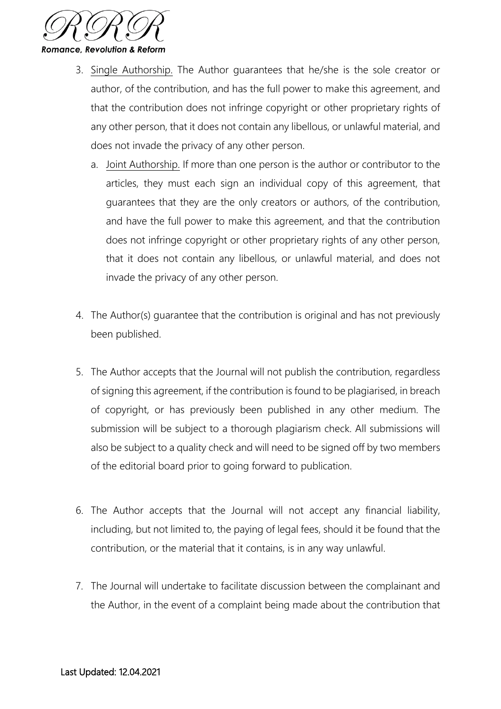

- 3. Single Authorship. The Author guarantees that he/she is the sole creator or author, of the contribution, and has the full power to make this agreement, and that the contribution does not infringe copyright or other proprietary rights of any other person, that it does not contain any libellous, or unlawful material, and does not invade the privacy of any other person.
	- a. Joint Authorship. If more than one person is the author or contributor to the articles, they must each sign an individual copy of this agreement, that guarantees that they are the only creators or authors, of the contribution, and have the full power to make this agreement, and that the contribution does not infringe copyright or other proprietary rights of any other person, that it does not contain any libellous, or unlawful material, and does not invade the privacy of any other person.
- 4. The Author(s) guarantee that the contribution is original and has not previously been published.
- 5. The Author accepts that the Journal will not publish the contribution, regardless of signing this agreement, if the contribution is found to be plagiarised, in breach of copyright, or has previously been published in any other medium. The submission will be subject to a thorough plagiarism check. All submissions will also be subject to a quality check and will need to be signed off by two members of the editorial board prior to going forward to publication.
- 6. The Author accepts that the Journal will not accept any financial liability, including, but not limited to, the paying of legal fees, should it be found that the contribution, or the material that it contains, is in any way unlawful.
- 7. The Journal will undertake to facilitate discussion between the complainant and the Author, in the event of a complaint being made about the contribution that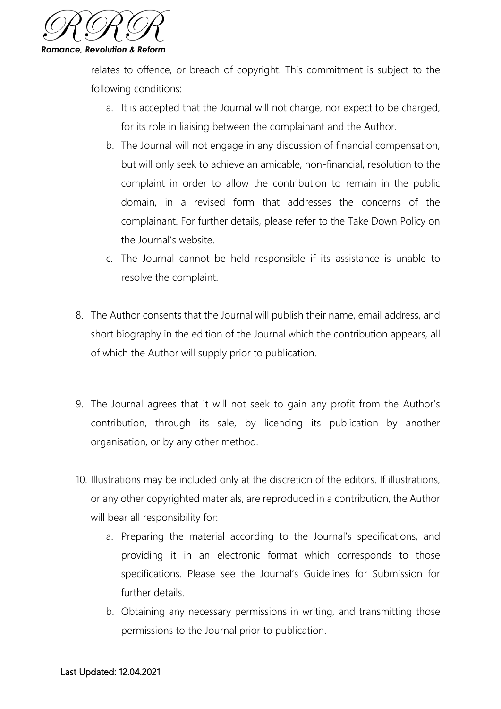

relates to offence, or breach of copyright. This commitment is subject to the following conditions:

- a. It is accepted that the Journal will not charge, nor expect to be charged, for its role in liaising between the complainant and the Author.
- b. The Journal will not engage in any discussion of financial compensation, but will only seek to achieve an amicable, non-financial, resolution to the complaint in order to allow the contribution to remain in the public domain, in a revised form that addresses the concerns of the complainant. For further details, please refer to the Take Down Policy on the Journal's website.
- c. The Journal cannot be held responsible if its assistance is unable to resolve the complaint.
- 8. The Author consents that the Journal will publish their name, email address, and short biography in the edition of the Journal which the contribution appears, all of which the Author will supply prior to publication.
- 9. The Journal agrees that it will not seek to gain any profit from the Author's contribution, through its sale, by licencing its publication by another organisation, or by any other method.
- 10. Illustrations may be included only at the discretion of the editors. If illustrations, or any other copyrighted materials, are reproduced in a contribution, the Author will bear all responsibility for:
	- a. Preparing the material according to the Journal's specifications, and providing it in an electronic format which corresponds to those specifications. Please see the Journal's Guidelines for Submission for further details.
	- b. Obtaining any necessary permissions in writing, and transmitting those permissions to the Journal prior to publication.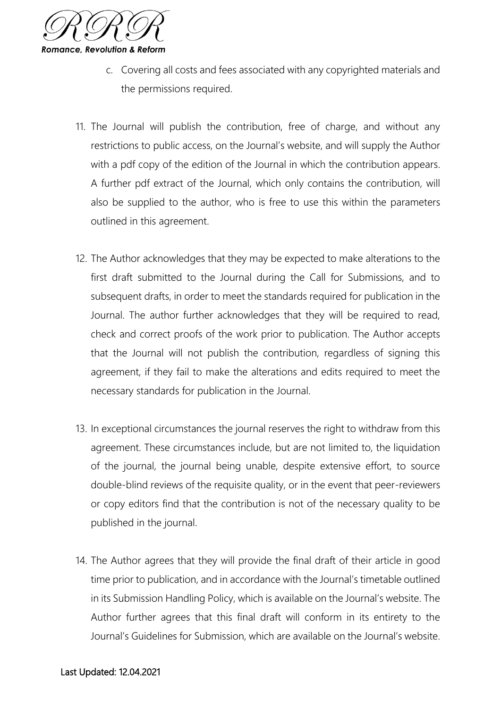

- c. Covering all costs and fees associated with any copyrighted materials and the permissions required.
- 11. The Journal will publish the contribution, free of charge, and without any restrictions to public access, on the Journal's website, and will supply the Author with a pdf copy of the edition of the Journal in which the contribution appears. A further pdf extract of the Journal, which only contains the contribution, will also be supplied to the author, who is free to use this within the parameters outlined in this agreement.
- 12. The Author acknowledges that they may be expected to make alterations to the first draft submitted to the Journal during the Call for Submissions, and to subsequent drafts, in order to meet the standards required for publication in the Journal. The author further acknowledges that they will be required to read, check and correct proofs of the work prior to publication. The Author accepts that the Journal will not publish the contribution, regardless of signing this agreement, if they fail to make the alterations and edits required to meet the necessary standards for publication in the Journal.
- 13. In exceptional circumstances the journal reserves the right to withdraw from this agreement. These circumstances include, but are not limited to, the liquidation of the journal, the journal being unable, despite extensive effort, to source double-blind reviews of the requisite quality, or in the event that peer-reviewers or copy editors find that the contribution is not of the necessary quality to be published in the journal.
- 14. The Author agrees that they will provide the final draft of their article in good time prior to publication, and in accordance with the Journal's timetable outlined in its Submission Handling Policy, which is available on the Journal's website. The Author further agrees that this final draft will conform in its entirety to the Journal's Guidelines for Submission, which are available on the Journal's website.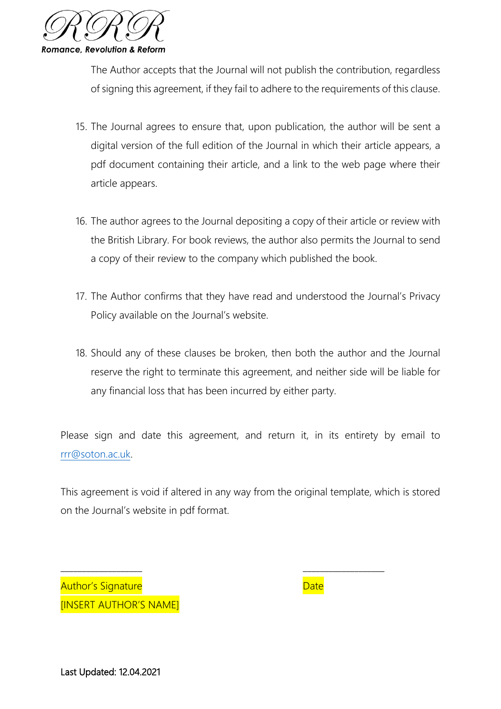

The Author accepts that the Journal will not publish the contribution, regardless of signing this agreement, if they fail to adhere to the requirements of this clause.

- 15. The Journal agrees to ensure that, upon publication, the author will be sent a digital version of the full edition of the Journal in which their article appears, a pdf document containing their article, and a link to the web page where their article appears.
- 16. The author agrees to the Journal depositing a copy of their article or review with the British Library. For book reviews, the author also permits the Journal to send a copy of their review to the company which published the book.
- 17. The Author confirms that they have read and understood the Journal's Privacy Policy available on the Journal's website.
- 18. Should any of these clauses be broken, then both the author and the Journal reserve the right to terminate this agreement, and neither side will be liable for any financial loss that has been incurred by either party.

Please sign and date this agreement, and return it, in its entirety by email to [rrr@soton.ac.uk.](mailto:rrr@soton.ac.uk)

This agreement is void if altered in any way from the original template, which is stored on the Journal's website in pdf format.

\_\_\_\_\_\_\_\_\_\_\_\_\_\_\_\_\_\_\_ \_\_\_\_\_\_\_\_\_\_\_\_\_\_\_\_\_\_\_

Author's Signature and Date Date Date **IINSERT AUTHOR'S NAME** 

Last Updated: 12.04.2021